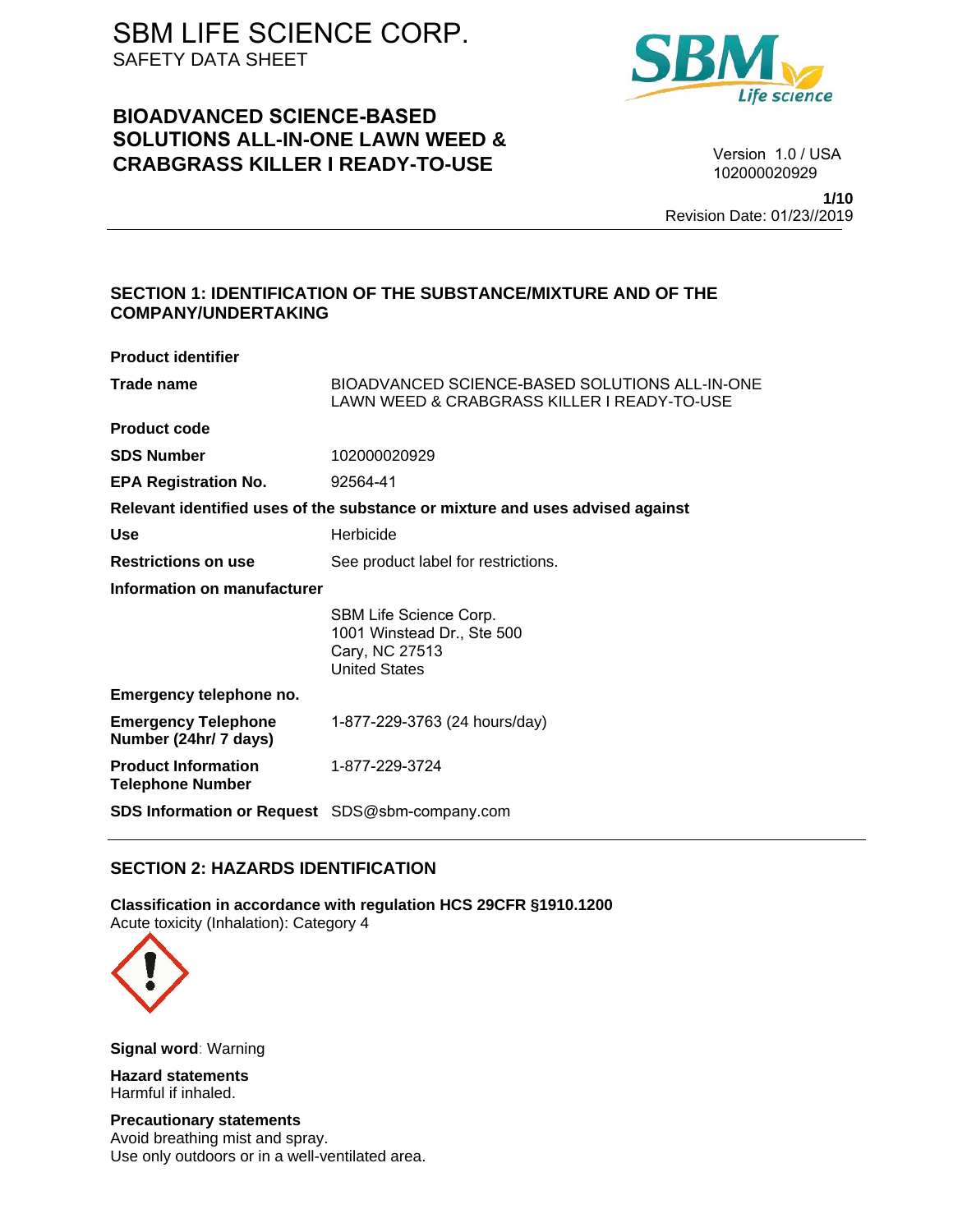# **BIOADVANCED SCIENCE-BASED SOLUTIONS ALL-IN-ONE LAWN WEED & CRABGRASS KILLER I READY-TO-USE**



Version 1.0 / USA 102000020929

**1/10** Revision Date: 01/23//2019

### **SECTION 1: IDENTIFICATION OF THE SUBSTANCE/MIXTURE AND OF THE COMPANY/UNDERTAKING**

| <b>Product identifier</b>                             |                                                                                                |
|-------------------------------------------------------|------------------------------------------------------------------------------------------------|
| Trade name                                            | BIOADVANCED SCIENCE-BASED SOLUTIONS ALL-IN-ONE<br>LAWN WEED & CRABGRASS KILLER I READY-TO-USE  |
| <b>Product code</b>                                   |                                                                                                |
| <b>SDS Number</b>                                     | 102000020929                                                                                   |
| <b>EPA Registration No.</b>                           | 92564-41                                                                                       |
|                                                       | Relevant identified uses of the substance or mixture and uses advised against                  |
| Use                                                   | Herbicide                                                                                      |
| <b>Restrictions on use</b>                            | See product label for restrictions.                                                            |
| Information on manufacturer                           |                                                                                                |
|                                                       | SBM Life Science Corp.<br>1001 Winstead Dr., Ste 500<br>Cary, NC 27513<br><b>United States</b> |
| Emergency telephone no.                               |                                                                                                |
| <b>Emergency Telephone</b><br>Number (24hr/ 7 days)   | 1-877-229-3763 (24 hours/day)                                                                  |
| <b>Product Information</b><br><b>Telephone Number</b> | 1-877-229-3724                                                                                 |
| <b>SDS Information or Request</b> SDS@sbm-company.com |                                                                                                |

## **SECTION 2: HAZARDS IDENTIFICATION**

**Classification in accordance with regulation HCS 29CFR §1910.1200**  Acute toxicity (Inhalation): Category 4



**Signal word**: Warning

**Hazard statements**  Harmful if inhaled.

**Precautionary statements**  Avoid breathing mist and spray. Use only outdoors or in a well-ventilated area.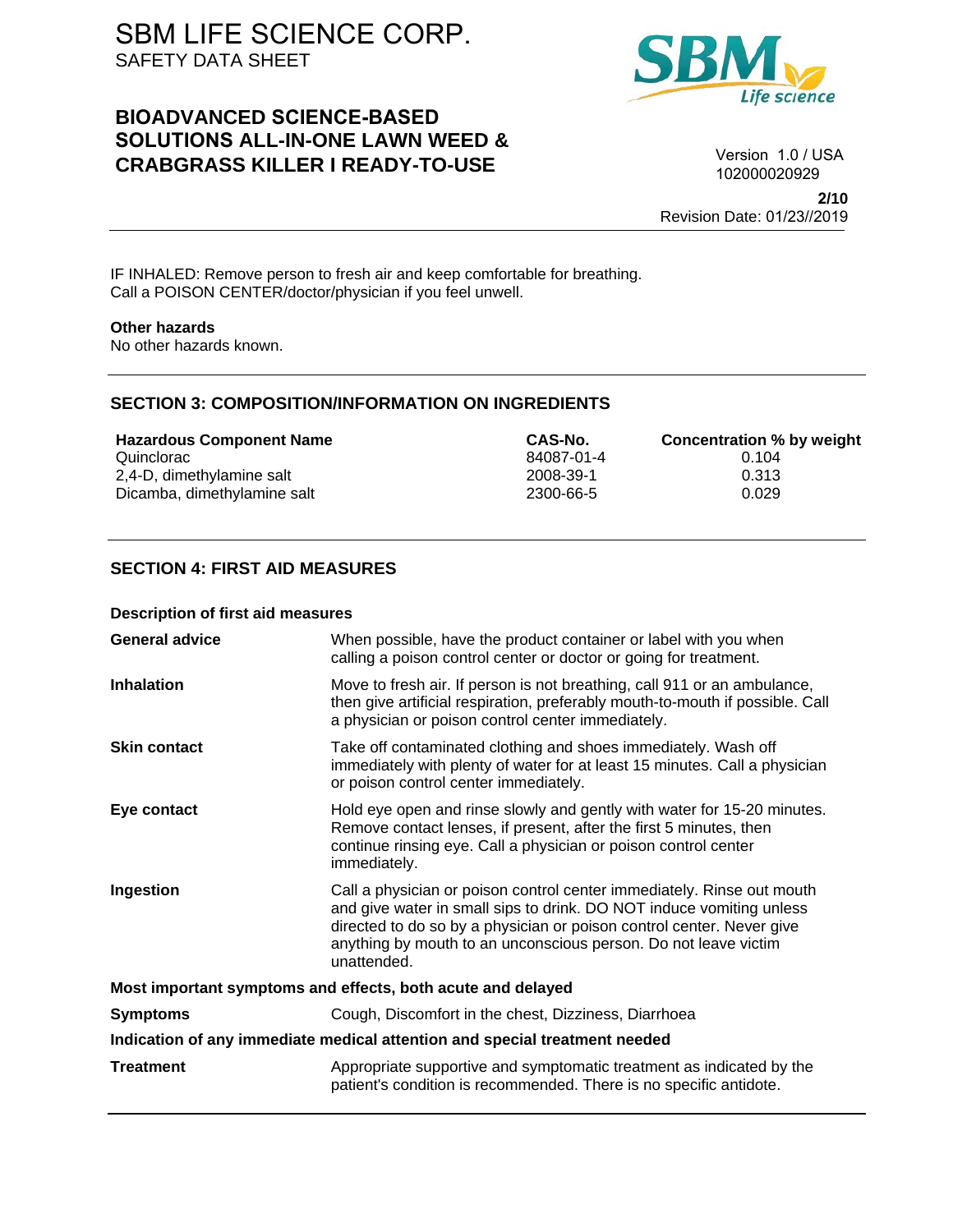# **BIOADVANCED SCIENCE-BASED SOLUTIONS ALL-IN-ONE LAWN WEED & CRABGRASS KILLER I READY-TO-USE**



Version 1.0 / USA 102000020929

**2/10** Revision Date: 01/23//2019

IF INHALED: Remove person to fresh air and keep comfortable for breathing. Call a POISON CENTER/doctor/physician if you feel unwell.

#### **Other hazards**

No other hazards known.

### **SECTION 3: COMPOSITION/INFORMATION ON INGREDIENTS**

**Hazardous Component Name CAS-No. Concentration % by weight** Quinclorac 84087-01-4 0.104 2,4-D, dimethylamine salt 2008-39-1 Dicamba, dimethylamine salt 1999 and 2300-66-5 0.029

### **SECTION 4: FIRST AID MEASURES**

#### **Description of first aid measures**

| <b>General advice</b>                                                      | When possible, have the product container or label with you when<br>calling a poison control center or doctor or going for treatment.                                                                                                                                                                     |  |
|----------------------------------------------------------------------------|-----------------------------------------------------------------------------------------------------------------------------------------------------------------------------------------------------------------------------------------------------------------------------------------------------------|--|
| <b>Inhalation</b>                                                          | Move to fresh air. If person is not breathing, call 911 or an ambulance,<br>then give artificial respiration, preferably mouth-to-mouth if possible. Call<br>a physician or poison control center immediately.                                                                                            |  |
| <b>Skin contact</b>                                                        | Take off contaminated clothing and shoes immediately. Wash off<br>immediately with plenty of water for at least 15 minutes. Call a physician<br>or poison control center immediately.                                                                                                                     |  |
| Eye contact                                                                | Hold eye open and rinse slowly and gently with water for 15-20 minutes.<br>Remove contact lenses, if present, after the first 5 minutes, then<br>continue rinsing eye. Call a physician or poison control center<br>immediately.                                                                          |  |
| Ingestion                                                                  | Call a physician or poison control center immediately. Rinse out mouth<br>and give water in small sips to drink. DO NOT induce vomiting unless<br>directed to do so by a physician or poison control center. Never give<br>anything by mouth to an unconscious person. Do not leave victim<br>unattended. |  |
| Most important symptoms and effects, both acute and delayed                |                                                                                                                                                                                                                                                                                                           |  |
| <b>Symptoms</b>                                                            | Cough, Discomfort in the chest, Dizziness, Diarrhoea                                                                                                                                                                                                                                                      |  |
| Indication of any immediate medical attention and special treatment needed |                                                                                                                                                                                                                                                                                                           |  |
| <b>Treatment</b>                                                           | Appropriate supportive and symptomatic treatment as indicated by the<br>patient's condition is recommended. There is no specific antidote.                                                                                                                                                                |  |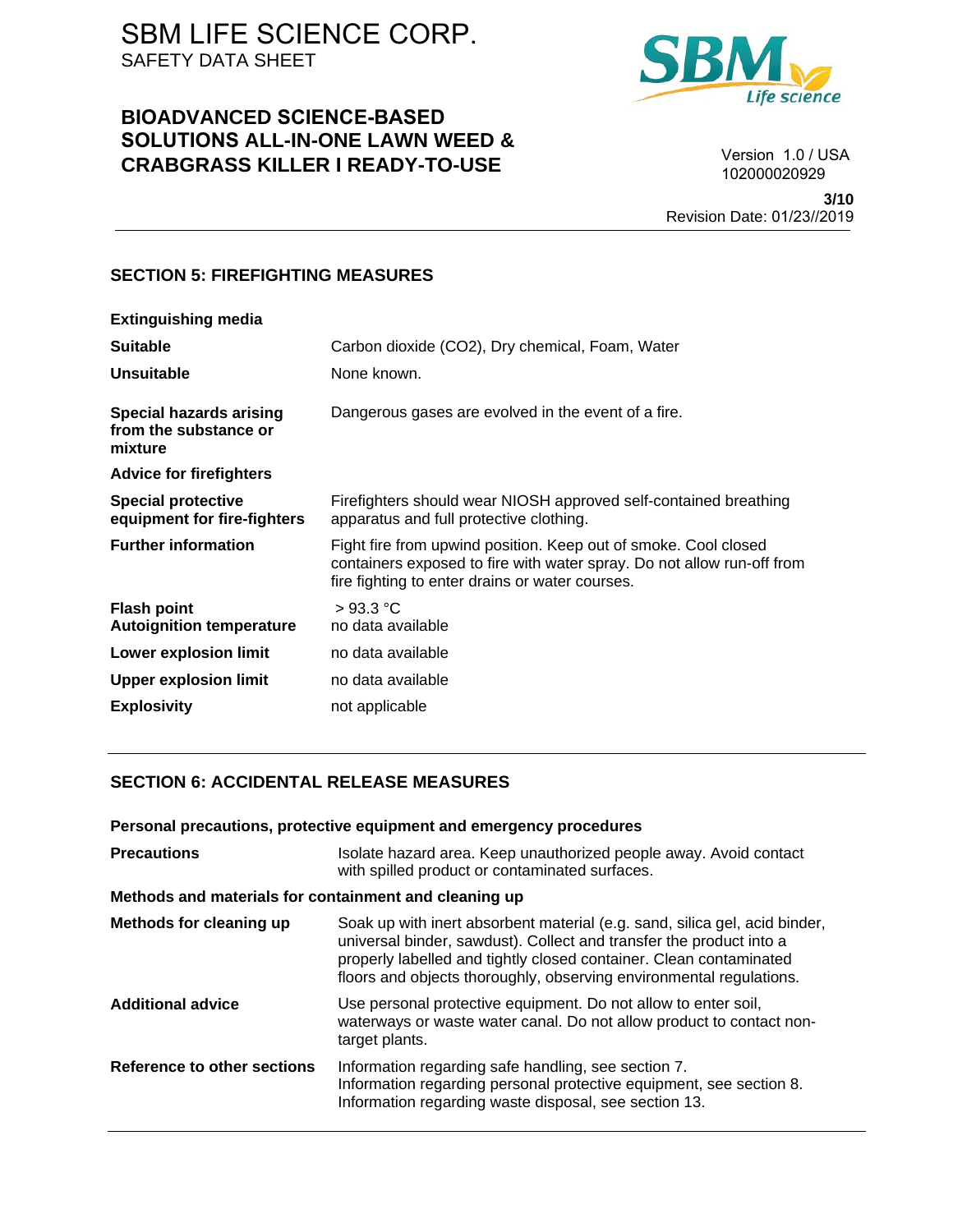# **BIOADVANCED SCIENCE-BASED SOLUTIONS ALL-IN-ONE LAWN WEED & CRABGRASS KILLER I READY-TO-USE**



Version 1.0 / USA 102000020929

**3/10** Revision Date: 01/23//2019

### **SECTION 5: FIREFIGHTING MEASURES**

| <b>Extinguishing media</b>                                         |                                                                                                                                                                                              |
|--------------------------------------------------------------------|----------------------------------------------------------------------------------------------------------------------------------------------------------------------------------------------|
| <b>Suitable</b>                                                    | Carbon dioxide (CO2), Dry chemical, Foam, Water                                                                                                                                              |
| Unsuitable                                                         | None known.                                                                                                                                                                                  |
| <b>Special hazards arising</b><br>from the substance or<br>mixture | Dangerous gases are evolved in the event of a fire.                                                                                                                                          |
| <b>Advice for firefighters</b>                                     |                                                                                                                                                                                              |
| <b>Special protective</b><br>equipment for fire-fighters           | Firefighters should wear NIOSH approved self-contained breathing<br>apparatus and full protective clothing.                                                                                  |
| <b>Further information</b>                                         | Fight fire from upwind position. Keep out of smoke. Cool closed<br>containers exposed to fire with water spray. Do not allow run-off from<br>fire fighting to enter drains or water courses. |
| <b>Flash point</b><br><b>Autoignition temperature</b>              | >93.3 °C<br>no data available                                                                                                                                                                |
| <b>Lower explosion limit</b>                                       | no data available                                                                                                                                                                            |
| <b>Upper explosion limit</b>                                       | no data available                                                                                                                                                                            |
| <b>Explosivity</b>                                                 | not applicable                                                                                                                                                                               |

## **SECTION 6: ACCIDENTAL RELEASE MEASURES**

| Personal precautions, protective equipment and emergency procedures                                                                                                                                                                                                                            |
|------------------------------------------------------------------------------------------------------------------------------------------------------------------------------------------------------------------------------------------------------------------------------------------------|
| Isolate hazard area. Keep unauthorized people away. Avoid contact<br>with spilled product or contaminated surfaces.                                                                                                                                                                            |
| Methods and materials for containment and cleaning up                                                                                                                                                                                                                                          |
| Soak up with inert absorbent material (e.g. sand, silica gel, acid binder,<br>universal binder, sawdust). Collect and transfer the product into a<br>properly labelled and tightly closed container. Clean contaminated<br>floors and objects thoroughly, observing environmental regulations. |
| Use personal protective equipment. Do not allow to enter soil,<br>waterways or waste water canal. Do not allow product to contact non-<br>target plants.                                                                                                                                       |
| Information regarding safe handling, see section 7.<br>Information regarding personal protective equipment, see section 8.<br>Information regarding waste disposal, see section 13.                                                                                                            |
|                                                                                                                                                                                                                                                                                                |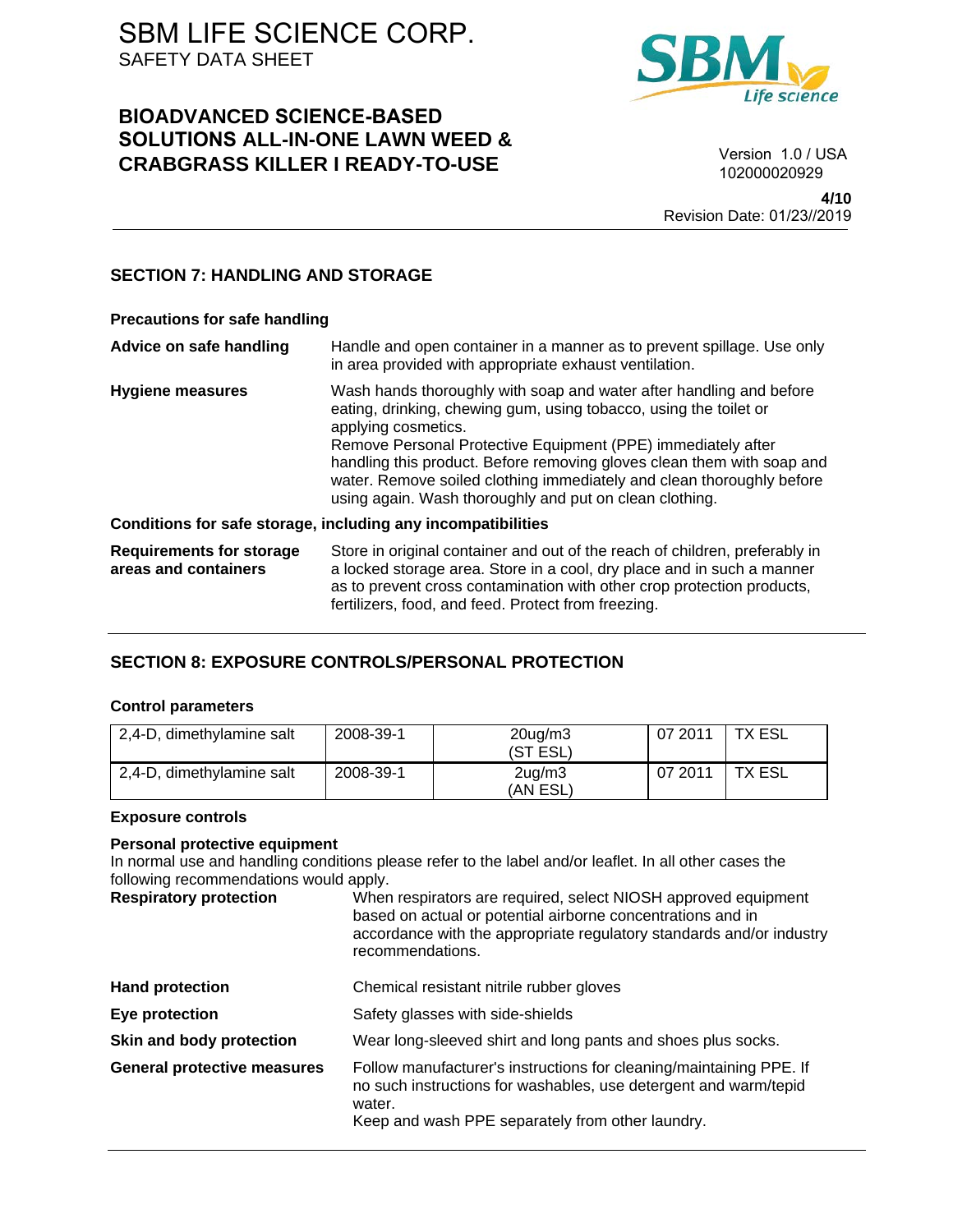# **BIOADVANCED SCIENCE-BASED SOLUTIONS ALL-IN-ONE LAWN WEED & CRABGRASS KILLER I READY-TO-USE**



Version 1.0 / USA 102000020929

**4/10** Revision Date: 01/23//2019

## **SECTION 7: HANDLING AND STORAGE**

| <b>Precautions for safe handling</b>                         |                                                                                                                                                                                                                                                                                                                                                                                                                                               |  |
|--------------------------------------------------------------|-----------------------------------------------------------------------------------------------------------------------------------------------------------------------------------------------------------------------------------------------------------------------------------------------------------------------------------------------------------------------------------------------------------------------------------------------|--|
| Advice on safe handling                                      | Handle and open container in a manner as to prevent spillage. Use only<br>in area provided with appropriate exhaust ventilation.                                                                                                                                                                                                                                                                                                              |  |
| <b>Hygiene measures</b>                                      | Wash hands thoroughly with soap and water after handling and before<br>eating, drinking, chewing gum, using tobacco, using the toilet or<br>applying cosmetics.<br>Remove Personal Protective Equipment (PPE) immediately after<br>handling this product. Before removing gloves clean them with soap and<br>water. Remove soiled clothing immediately and clean thoroughly before<br>using again. Wash thoroughly and put on clean clothing. |  |
| Conditions for safe storage, including any incompatibilities |                                                                                                                                                                                                                                                                                                                                                                                                                                               |  |
| <b>Requirements for storage</b><br>areas and containers      | Store in original container and out of the reach of children, preferably in<br>a locked storage area. Store in a cool, dry place and in such a manner<br>as to prevent cross contamination with other crop protection products,<br>fertilizers, food, and feed. Protect from freezing.                                                                                                                                                        |  |

## **SECTION 8: EXPOSURE CONTROLS/PERSONAL PROTECTION**

### **Control parameters**

| 2,4-D, dimethylamine salt | 2008-39-1 | $20$ ug/m $3$<br>(ST ESL)  | 07 2011 | TX ESL |
|---------------------------|-----------|----------------------------|---------|--------|
| 2,4-D, dimethylamine salt | 2008-39-1 | $2uq$ /m $3uq$<br>(AN ESL) | 07 2011 | TX ESL |

### **Exposure controls**

#### **Personal protective equipment**

In normal use and handling conditions please refer to the label and/or leaflet. In all other cases the following recommendations would apply.

| <b>Respiratory protection</b>      | When respirators are required, select NIOSH approved equipment<br>based on actual or potential airborne concentrations and in<br>accordance with the appropriate regulatory standards and/or industry<br>recommendations. |
|------------------------------------|---------------------------------------------------------------------------------------------------------------------------------------------------------------------------------------------------------------------------|
| <b>Hand protection</b>             | Chemical resistant nitrile rubber gloves                                                                                                                                                                                  |
| Eye protection                     | Safety glasses with side-shields                                                                                                                                                                                          |
| Skin and body protection           | Wear long-sleeved shirt and long pants and shoes plus socks.                                                                                                                                                              |
| <b>General protective measures</b> | Follow manufacturer's instructions for cleaning/maintaining PPE. If<br>no such instructions for washables, use detergent and warm/tepid<br>water.<br>Keep and wash PPE separately from other laundry.                     |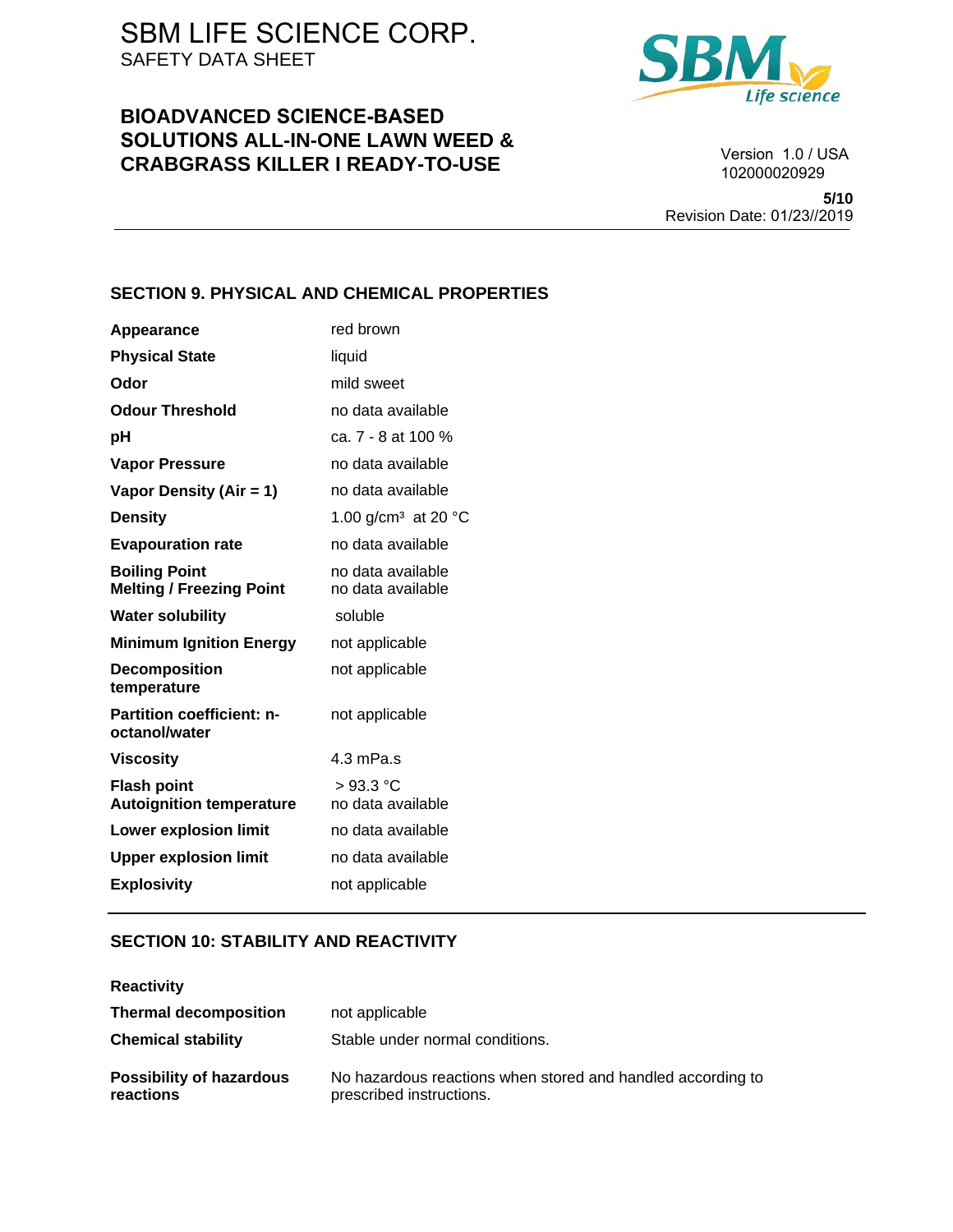# **BIOADVANCED SCIENCE-BASED SOLUTIONS ALL-IN-ONE LAWN WEED & CRABGRASS KILLER I READY-TO-USE**



Version 1.0 / USA 102000020929

**5/10** Revision Date: 01/23//2019

### **SECTION 9. PHYSICAL AND CHEMICAL PROPERTIES**

| Appearance                                              | red brown                                 |
|---------------------------------------------------------|-------------------------------------------|
| <b>Physical State</b>                                   | liquid                                    |
| Odor                                                    | mild sweet                                |
| <b>Odour Threshold</b>                                  | no data available                         |
| рH                                                      | ca. 7 - 8 at 100 %                        |
| <b>Vapor Pressure</b>                                   | no data available                         |
| Vapor Density (Air = 1)                                 | no data available                         |
| <b>Density</b>                                          | 1.00 g/cm <sup>3</sup> at 20 $^{\circ}$ C |
| <b>Evapouration rate</b>                                | no data available                         |
| <b>Boiling Point</b><br><b>Melting / Freezing Point</b> | no data available<br>no data available    |
| <b>Water solubility</b>                                 | soluble                                   |
| <b>Minimum Ignition Energy</b>                          | not applicable                            |
| <b>Decomposition</b><br>temperature                     | not applicable                            |
| <b>Partition coefficient: n-</b><br>octanol/water       | not applicable                            |
| <b>Viscosity</b>                                        | 4.3 mPa.s                                 |
| <b>Flash point</b><br><b>Autoignition temperature</b>   | $>93.3$ °C<br>no data available           |
| <b>Lower explosion limit</b>                            | no data available                         |
| <b>Upper explosion limit</b>                            | no data available                         |
| <b>Explosivity</b>                                      | not applicable                            |

## **SECTION 10: STABILITY AND REACTIVITY**

| <b>Reactivity</b>                            |                                                                                         |
|----------------------------------------------|-----------------------------------------------------------------------------------------|
| <b>Thermal decomposition</b>                 | not applicable                                                                          |
| <b>Chemical stability</b>                    | Stable under normal conditions.                                                         |
| <b>Possibility of hazardous</b><br>reactions | No hazardous reactions when stored and handled according to<br>prescribed instructions. |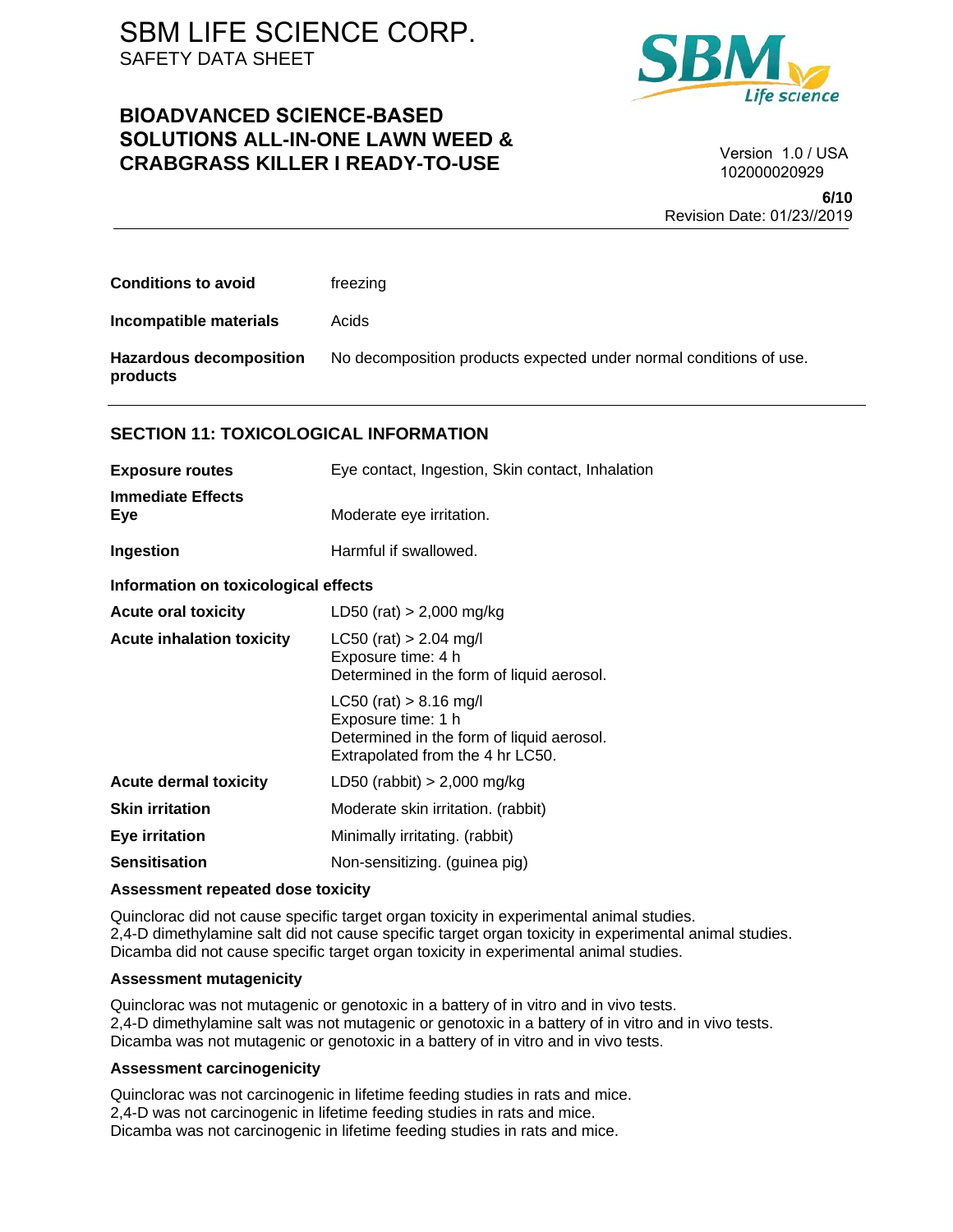## **BIOADVANCED SCIENCE-BASED SOLUTIONS ALL-IN-ONE LAWN WEED & CRABGRASS KILLER I READY-TO-USE**



Version 1.0 / USA 102000020929

**6/10** Revision Date: 01/23//2019

| <b>Conditions to avoid</b>                   | freezing                                                           |
|----------------------------------------------|--------------------------------------------------------------------|
| <b>Incompatible materials</b>                | Acids                                                              |
| <b>Hazardous decomposition</b><br>products   | No decomposition products expected under normal conditions of use. |
| <b>SECTION 11: TOXICOLOGICAL INFORMATION</b> |                                                                    |
| <b>Exposure routes</b>                       | Eye contact, Ingestion, Skin contact, Inhalation                   |

| <b>Immediate Effects</b><br>Eye      | Moderate eye irritation.                                                                                                          |
|--------------------------------------|-----------------------------------------------------------------------------------------------------------------------------------|
| Ingestion                            | Harmful if swallowed.                                                                                                             |
| Information on toxicological effects |                                                                                                                                   |
| <b>Acute oral toxicity</b>           | LD50 (rat) $> 2,000$ mg/kg                                                                                                        |
| <b>Acute inhalation toxicity</b>     | $LC50$ (rat) > 2.04 mg/l<br>Exposure time: 4 h<br>Determined in the form of liquid aerosol.                                       |
|                                      | $LC50$ (rat) $> 8.16$ mg/l<br>Exposure time: 1 h<br>Determined in the form of liquid aerosol.<br>Extrapolated from the 4 hr LC50. |
| <b>Acute dermal toxicity</b>         | LD50 (rabbit) $> 2,000$ mg/kg                                                                                                     |
| <b>Skin irritation</b>               | Moderate skin irritation. (rabbit)                                                                                                |
| <b>Eye irritation</b>                | Minimally irritating. (rabbit)                                                                                                    |
| <b>Sensitisation</b>                 | Non-sensitizing. (guinea pig)                                                                                                     |

#### **Assessment repeated dose toxicity**

Quinclorac did not cause specific target organ toxicity in experimental animal studies. 2,4-D dimethylamine salt did not cause specific target organ toxicity in experimental animal studies. Dicamba did not cause specific target organ toxicity in experimental animal studies.

#### **Assessment mutagenicity**

Quinclorac was not mutagenic or genotoxic in a battery of in vitro and in vivo tests. 2,4-D dimethylamine salt was not mutagenic or genotoxic in a battery of in vitro and in vivo tests. Dicamba was not mutagenic or genotoxic in a battery of in vitro and in vivo tests.

#### **Assessment carcinogenicity**

Quinclorac was not carcinogenic in lifetime feeding studies in rats and mice. 2,4-D was not carcinogenic in lifetime feeding studies in rats and mice. Dicamba was not carcinogenic in lifetime feeding studies in rats and mice.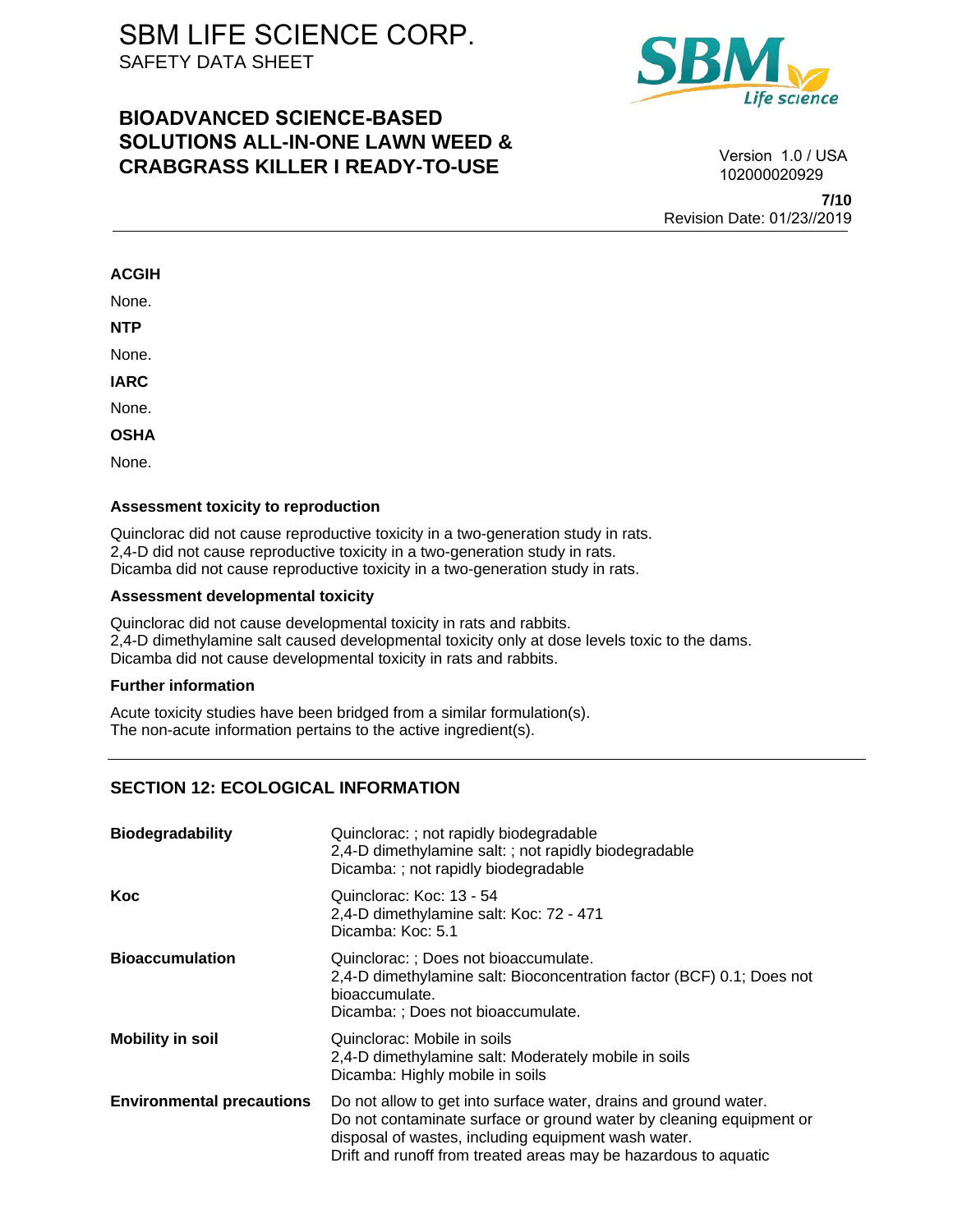# **BIOADVANCED SCIENCE-BASED SOLUTIONS ALL-IN-ONE LAWN WEED & CRABGRASS KILLER I READY-TO-USE**



**7/10** Version 1.0 / USA 102000020929

Revision Date: 01/23//2019

### **ACGIH**

None.

**NTP** 

None.

**IARC** 

None.

**OSHA** 

None.

#### **Assessment toxicity to reproduction**

Quinclorac did not cause reproductive toxicity in a two-generation study in rats. 2,4-D did not cause reproductive toxicity in a two-generation study in rats. Dicamba did not cause reproductive toxicity in a two-generation study in rats.

#### **Assessment developmental toxicity**

Quinclorac did not cause developmental toxicity in rats and rabbits. 2,4-D dimethylamine salt caused developmental toxicity only at dose levels toxic to the dams. Dicamba did not cause developmental toxicity in rats and rabbits.

### **Further information**

Acute toxicity studies have been bridged from a similar formulation(s). The non-acute information pertains to the active ingredient(s).

## **SECTION 12: ECOLOGICAL INFORMATION**

| <b>Biodegradability</b>          | Quinclorac: ; not rapidly biodegradable<br>2,4-D dimethylamine salt: ; not rapidly biodegradable<br>Dicamba: ; not rapidly biodegradable                                                                                                                          |
|----------------------------------|-------------------------------------------------------------------------------------------------------------------------------------------------------------------------------------------------------------------------------------------------------------------|
| Koc                              | Quinclorac: Koc: 13 - 54<br>2,4-D dimethylamine salt: Koc: 72 - 471<br>Dicamba: Koc: 5.1                                                                                                                                                                          |
| <b>Bioaccumulation</b>           | Quinclorac: : Does not bioaccumulate.<br>2,4-D dimethylamine salt: Bioconcentration factor (BCF) 0.1; Does not<br>bioaccumulate.<br>Dicamba: : Does not bioaccumulate.                                                                                            |
| <b>Mobility in soil</b>          | Quinclorac: Mobile in soils<br>2,4-D dimethylamine salt: Moderately mobile in soils<br>Dicamba: Highly mobile in soils                                                                                                                                            |
| <b>Environmental precautions</b> | Do not allow to get into surface water, drains and ground water.<br>Do not contaminate surface or ground water by cleaning equipment or<br>disposal of wastes, including equipment wash water.<br>Drift and runoff from treated areas may be hazardous to aquatic |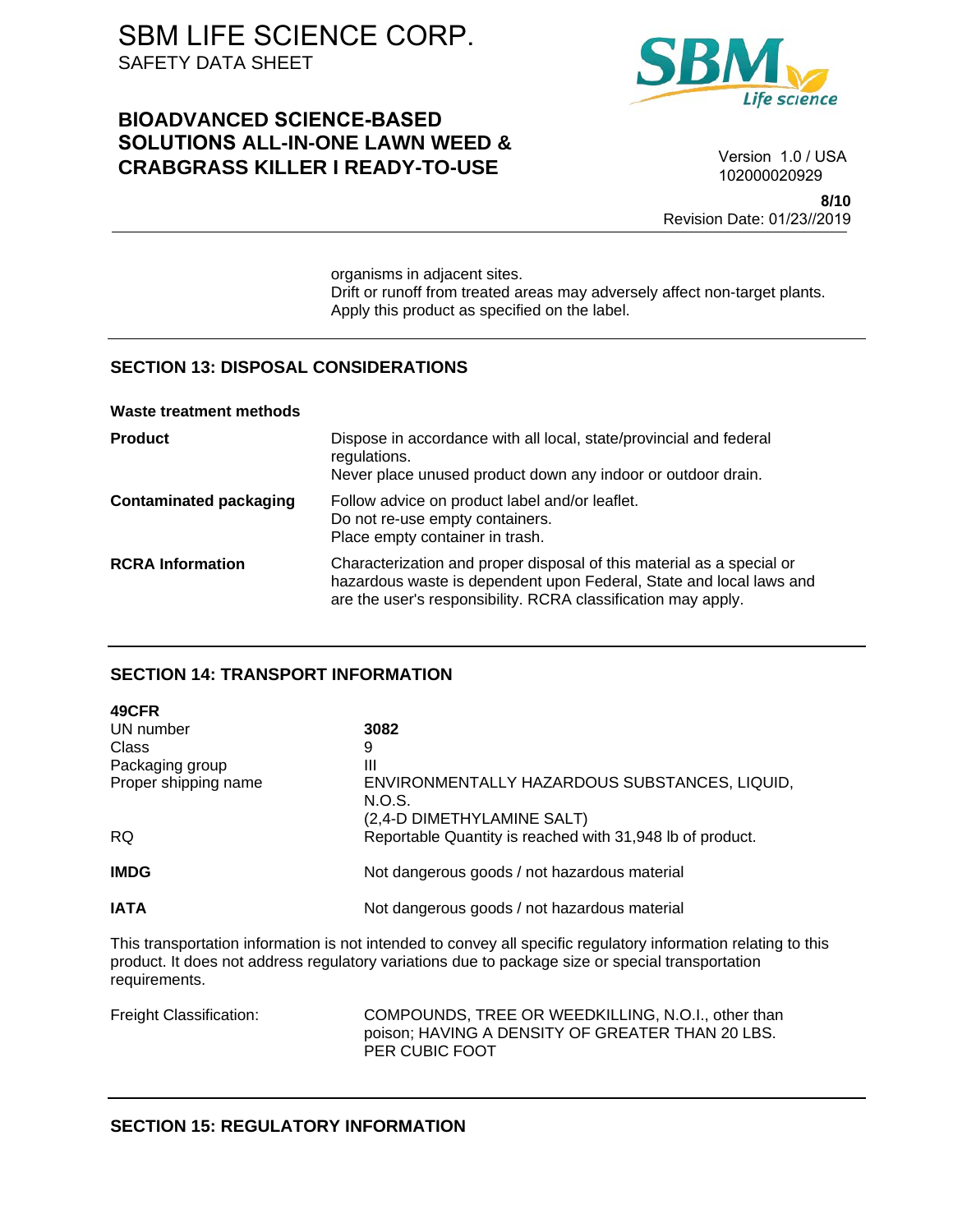# **BIOADVANCED SCIENCE-BASED SOLUTIONS ALL-IN-ONE LAWN WEED & CRABGRASS KILLER I READY-TO-USE**



Version 1.0 / USA 102000020929

**8/10** Revision Date: 01/23//2019

organisms in adjacent sites. Drift or runoff from treated areas may adversely affect non-target plants. Apply this product as specified on the label.

### **SECTION 13: DISPOSAL CONSIDERATIONS**

|  | Waste treatment methods |  |
|--|-------------------------|--|
|  |                         |  |

| <b>Product</b>                | Dispose in accordance with all local, state/provincial and federal<br>regulations.<br>Never place unused product down any indoor or outdoor drain.                                                            |
|-------------------------------|---------------------------------------------------------------------------------------------------------------------------------------------------------------------------------------------------------------|
| <b>Contaminated packaging</b> | Follow advice on product label and/or leaflet.<br>Do not re-use empty containers.<br>Place empty container in trash.                                                                                          |
| <b>RCRA Information</b>       | Characterization and proper disposal of this material as a special or<br>hazardous waste is dependent upon Federal, State and local laws and<br>are the user's responsibility. RCRA classification may apply. |

## **SECTION 14: TRANSPORT INFORMATION**

| 49CFR                |                                                           |
|----------------------|-----------------------------------------------------------|
| UN number            | 3082                                                      |
| Class                | 9                                                         |
| Packaging group      | Ш                                                         |
| Proper shipping name | ENVIRONMENTALLY HAZARDOUS SUBSTANCES, LIQUID,             |
|                      | N.O.S.                                                    |
|                      | (2,4-D DIMETHYLAMINE SALT)                                |
| <b>RQ</b>            | Reportable Quantity is reached with 31,948 lb of product. |
|                      |                                                           |
| <b>IMDG</b>          | Not dangerous goods / not hazardous material              |
|                      |                                                           |
| <b>IATA</b>          | Not dangerous goods / not hazardous material              |

This transportation information is not intended to convey all specific regulatory information relating to this product. It does not address regulatory variations due to package size or special transportation requirements.

Freight Classification: COMPOUNDS, TREE OR WEEDKILLING, N.O.I., other than poison; HAVING A DENSITY OF GREATER THAN 20 LBS. PER CUBIC FOOT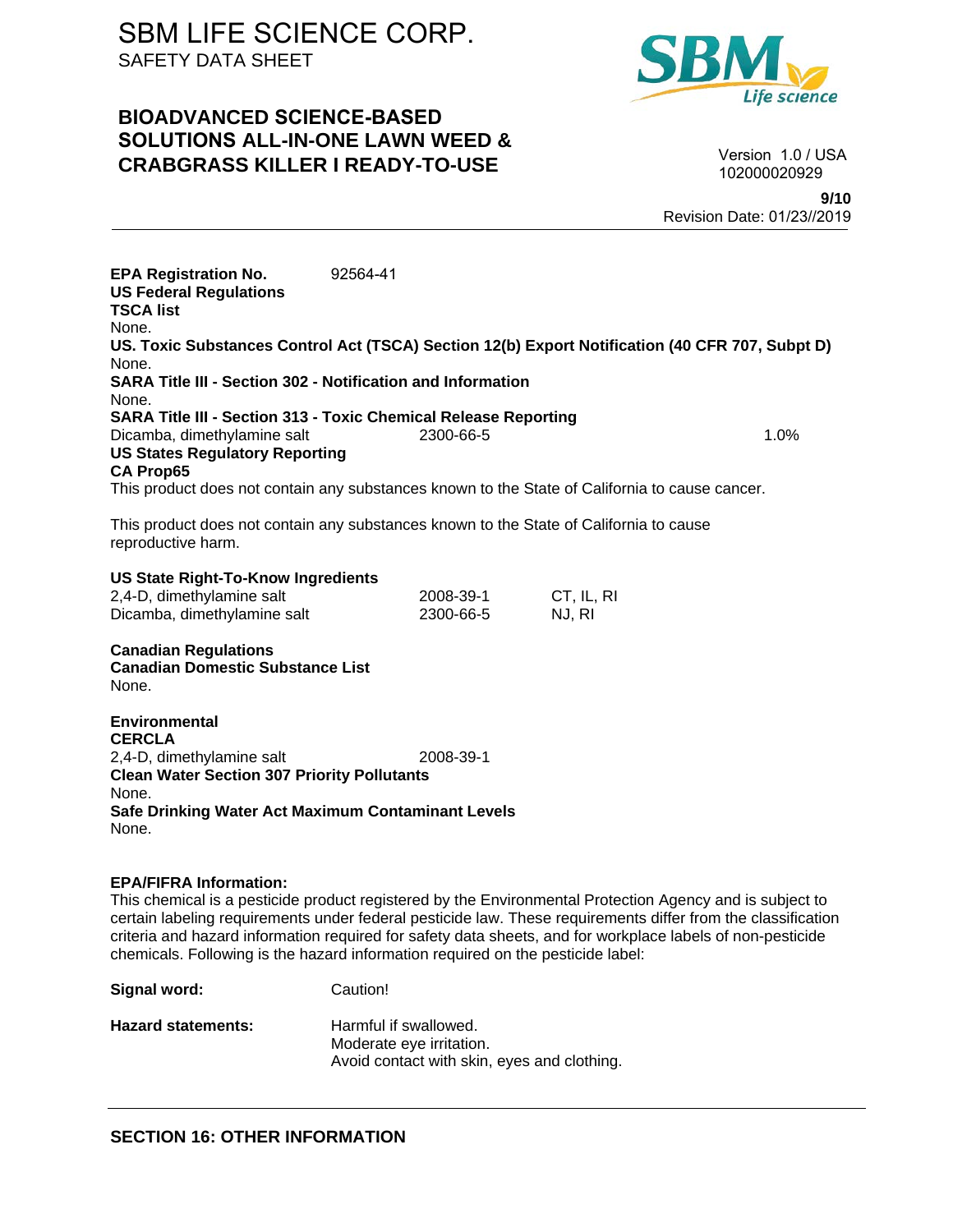# **BIOADVANCED SCIENCE-BASED SOLUTIONS ALL-IN-ONE LAWN WEED & CRABGRASS KILLER I READY-TO-USE**



Version 1.0 / USA 102000020929

**9/10** Revision Date: 01/23//2019

**EPA Registration No.** 92564-41 **US Federal Regulations TSCA list** None. **US. Toxic Substances Control Act (TSCA) Section 12(b) Export Notification (40 CFR 707, Subpt D)** None. **SARA Title III - Section 302 - Notification and Information** None. **SARA Title III - Section 313 - Toxic Chemical Release Reporting** Dicamba, dimethylamine salt 1.0% 2300-66-5 **US States Regulatory Reporting CA Prop65** This product does not contain any substances known to the State of California to cause cancer. This product does not contain any substances known to the State of California to cause reproductive harm. **US State Right-To-Know Ingredients** 2,4-D, dimethylamine salt 2008-39-1 CT, IL, RI Dicamba, dimethylamine salt 2300-66-5 NJ, RI **Canadian Regulations**

**Canadian Domestic Substance List**  None.

**Environmental CERCLA**  2,4-D, dimethylamine salt 2008-39-1 **Clean Water Section 307 Priority Pollutants**  None. **Safe Drinking Water Act Maximum Contaminant Levels**  None.

### **EPA/FIFRA Information:**

This chemical is a pesticide product registered by the Environmental Protection Agency and is subject to certain labeling requirements under federal pesticide law. These requirements differ from the classification criteria and hazard information required for safety data sheets, and for workplace labels of non-pesticide chemicals. Following is the hazard information required on the pesticide label:

**Signal word:** Caution!

Hazard statements: Harmful if swallowed. Moderate eye irritation. Avoid contact with skin, eyes and clothing.